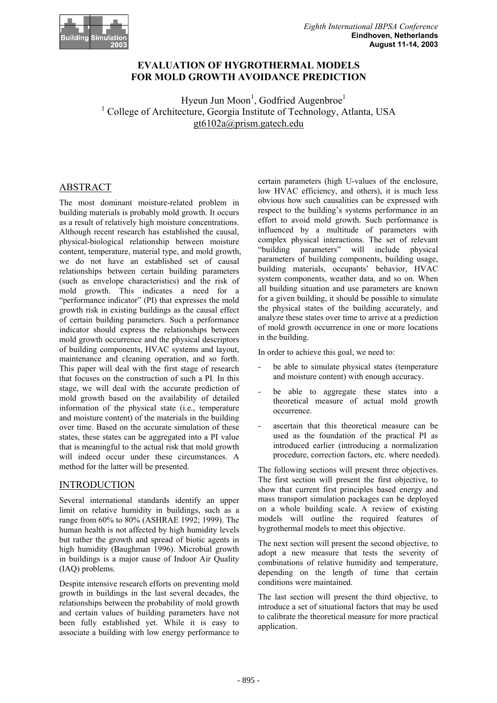

## **EVALUATION OF HYGROTHERMAL MODELS FOR MOLD GROWTH AVOIDANCE PREDICTION**

Hyeun Jun Moon<sup>1</sup>, Godfried Augenbroe<sup>1</sup> <sup>1</sup> College of Architecture, Georgia Institute of Technology, Atlanta, USA gt6102a@prism.gatech.edu

# ABSTRACT

The most dominant moisture-related problem in building materials is probably mold growth. It occurs as a result of relatively high moisture concentrations. Although recent research has established the causal, physical-biological relationship between moisture content, temperature, material type, and mold growth, we do not have an established set of causal relationships between certain building parameters (such as envelope characteristics) and the risk of mold growth. This indicates a need for a "performance indicator" (PI) that expresses the mold growth risk in existing buildings as the causal effect of certain building parameters. Such a performance indicator should express the relationships between mold growth occurrence and the physical descriptors of building components, HVAC systems and layout, maintenance and cleaning operation, and so forth. This paper will deal with the first stage of research that focuses on the construction of such a PI. In this stage, we will deal with the accurate prediction of mold growth based on the availability of detailed information of the physical state (i.e., temperature and moisture content) of the materials in the building over time. Based on the accurate simulation of these states, these states can be aggregated into a PI value that is meaningful to the actual risk that mold growth will indeed occur under these circumstances. A method for the latter will be presented.

## INTRODUCTION

Several international standards identify an upper limit on relative humidity in buildings, such as a range from 60% to 80% (ASHRAE 1992; 1999). The human health is not affected by high humidity levels but rather the growth and spread of biotic agents in high humidity (Baughman 1996). Microbial growth in buildings is a major cause of Indoor Air Quality (IAQ) problems.

Despite intensive research efforts on preventing mold growth in buildings in the last several decades, the relationships between the probability of mold growth and certain values of building parameters have not been fully established yet. While it is easy to associate a building with low energy performance to

certain parameters (high U-values of the enclosure, low HVAC efficiency, and others), it is much less obvious how such causalities can be expressed with respect to the building's systems performance in an effort to avoid mold growth. Such performance is influenced by a multitude of parameters with complex physical interactions. The set of relevant "building parameters" will include physical parameters of building components, building usage, building materials, occupants' behavior, HVAC system components, weather data, and so on. When all building situation and use parameters are known for a given building, it should be possible to simulate the physical states of the building accurately, and analyze these states over time to arrive at a prediction of mold growth occurrence in one or more locations in the building.

In order to achieve this goal, we need to:

- be able to simulate physical states (temperature and moisture content) with enough accuracy.
- be able to aggregate these states into a theoretical measure of actual mold growth occurrence.
- ascertain that this theoretical measure can be used as the foundation of the practical PI as introduced earlier (introducing a normalization procedure, correction factors, etc. where needed).

The following sections will present three objectives. The first section will present the first objective, to show that current first principles based energy and mass transport simulation packages can be deployed on a whole building scale. A review of existing models will outline the required features of hygrothermal models to meet this objective.

The next section will present the second objective, to adopt a new measure that tests the severity of combinations of relative humidity and temperature, depending on the length of time that certain conditions were maintained.

The last section will present the third objective, to introduce a set of situational factors that may be used to calibrate the theoretical measure for more practical application.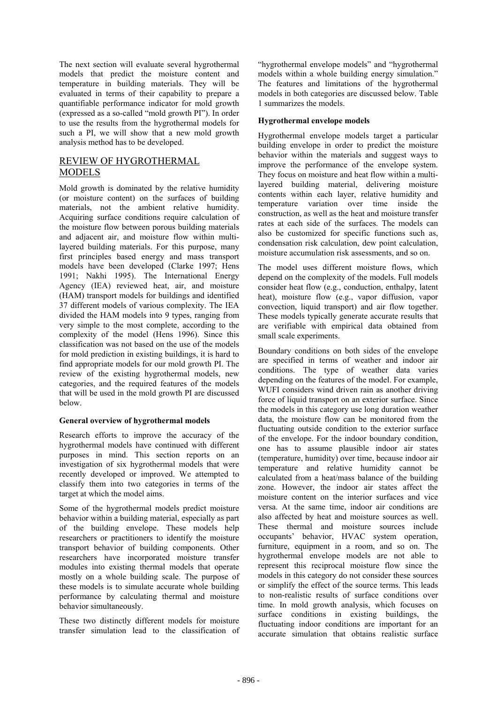The next section will evaluate several hygrothermal models that predict the moisture content and temperature in building materials. They will be evaluated in terms of their capability to prepare a quantifiable performance indicator for mold growth (expressed as a so-called "mold growth PI"). In order to use the results from the hygrothermal models for such a PI, we will show that a new mold growth analysis method has to be developed.

# REVIEW OF HYGROTHERMAL MODELS

Mold growth is dominated by the relative humidity (or moisture content) on the surfaces of building materials, not the ambient relative humidity. Acquiring surface conditions require calculation of the moisture flow between porous building materials and adjacent air, and moisture flow within multilayered building materials. For this purpose, many first principles based energy and mass transport models have been developed (Clarke 1997; Hens 1991; Nakhi 1995). The International Energy Agency (IEA) reviewed heat, air, and moisture (HAM) transport models for buildings and identified 37 different models of various complexity. The IEA divided the HAM models into 9 types, ranging from very simple to the most complete, according to the complexity of the model (Hens 1996). Since this classification was not based on the use of the models for mold prediction in existing buildings, it is hard to find appropriate models for our mold growth PI. The review of the existing hygrothermal models, new categories, and the required features of the models that will be used in the mold growth PI are discussed below.

## **General overview of hygrothermal models**

Research efforts to improve the accuracy of the hygrothermal models have continued with different purposes in mind. This section reports on an investigation of six hygrothermal models that were recently developed or improved. We attempted to classify them into two categories in terms of the target at which the model aims.

Some of the hygrothermal models predict moisture behavior within a building material, especially as part of the building envelope. These models help researchers or practitioners to identify the moisture transport behavior of building components. Other researchers have incorporated moisture transfer modules into existing thermal models that operate mostly on a whole building scale. The purpose of these models is to simulate accurate whole building performance by calculating thermal and moisture behavior simultaneously.

These two distinctly different models for moisture transfer simulation lead to the classification of "hygrothermal envelope models" and "hygrothermal models within a whole building energy simulation." The features and limitations of the hygrothermal models in both categories are discussed below. Table 1 summarizes the models.

## **Hygrothermal envelope models**

Hygrothermal envelope models target a particular building envelope in order to predict the moisture behavior within the materials and suggest ways to improve the performance of the envelope system. They focus on moisture and heat flow within a multilayered building material, delivering moisture contents within each layer, relative humidity and temperature variation over time inside the construction, as well as the heat and moisture transfer rates at each side of the surfaces. The models can also be customized for specific functions such as, condensation risk calculation, dew point calculation, moisture accumulation risk assessments, and so on.

The model uses different moisture flows, which depend on the complexity of the models. Full models consider heat flow (e.g., conduction, enthalpy, latent heat), moisture flow (e.g., vapor diffusion, vapor convection, liquid transport) and air flow together. These models typically generate accurate results that are verifiable with empirical data obtained from small scale experiments.

Boundary conditions on both sides of the envelope are specified in terms of weather and indoor air conditions. The type of weather data varies depending on the features of the model. For example, WUFI considers wind driven rain as another driving force of liquid transport on an exterior surface. Since the models in this category use long duration weather data, the moisture flow can be monitored from the fluctuating outside condition to the exterior surface of the envelope. For the indoor boundary condition, one has to assume plausible indoor air states (temperature, humidity) over time, because indoor air temperature and relative humidity cannot be calculated from a heat/mass balance of the building zone. However, the indoor air states affect the moisture content on the interior surfaces and vice versa. At the same time, indoor air conditions are also affected by heat and moisture sources as well. These thermal and moisture sources include occupants' behavior, HVAC system operation, furniture, equipment in a room, and so on. The hygrothermal envelope models are not able to represent this reciprocal moisture flow since the models in this category do not consider these sources or simplify the effect of the source terms. This leads to non-realistic results of surface conditions over time. In mold growth analysis, which focuses on surface conditions in existing buildings, the fluctuating indoor conditions are important for an accurate simulation that obtains realistic surface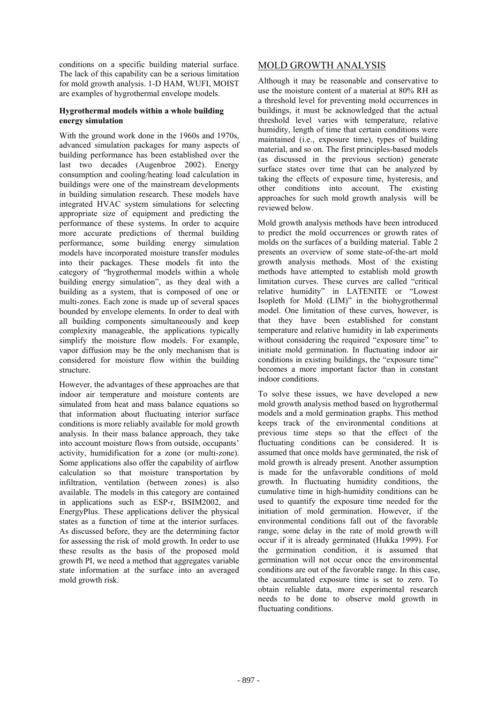conditions on a specific building material surface. The lack of this capability can be a serious limitation for mold growth analysis. 1-D HAM, WUFI, MOIST are examples of hygrothermal envelope models.

#### **Hygrothermal models within a whole building energy simulation**

With the ground work done in the 1960s and 1970s, advanced simulation packages for many aspects of building performance has been established over the last two decades (Augenbroe 2002). Energy consumption and cooling/heating load calculation in buildings were one of the mainstream developments in building simulation research. These models have integrated HVAC system simulations for selecting appropriate size of equipment and predicting the performance of these systems. In order to acquire more accurate predictions of thermal building performance, some building energy simulation models have incorporated moisture transfer modules into their packages. These models fit into the category of "hygrothermal models within a whole building energy simulation", as they deal with a building as a system, that is composed of one or multi-zones. Each zone is made up of several spaces bounded by envelope elements. In order to deal with all building components simultaneously and keep complexity manageable, the applications typically simplify the moisture flow models. For example, vapor diffusion may be the only mechanism that is considered for moisture flow within the building structure.

However, the advantages of these approaches are that indoor air temperature and moisture contents are simulated from heat and mass balance equations so that information about fluctuating interior surface conditions is more reliably available for mold growth analysis. In their mass balance approach, they take into account moisture flows from outside, occupants' activity, humidification for a zone (or multi-zone). Some applications also offer the capability of airflow calculation so that moisture transportation by infiltration, ventilation (between zones) is also available. The models in this category are contained in applications such as ESP-r, BSIM2002, and EnergyPlus. These applications deliver the physical states as a function of time at the interior surfaces. As discussed before, they are the determining factor for assessing the risk of mold growth. In order to use these results as the basis of the proposed mold growth PI, we need a method that aggregates variable state information at the surface into an averaged mold growth risk.

# MOLD GROWTH ANALYSIS

Although it may be reasonable and conservative to use the moisture content of a material at 80% RH as a threshold level for preventing mold occurrences in buildings, it must be acknowledged that the actual threshold level varies with temperature, relative humidity, length of time that certain conditions were maintained (i.e., exposure time), types of building material, and so on. The first principles-based models (as discussed in the previous section) generate surface states over time that can be analyzed by taking the effects of exposure time, hysteresis, and other conditions into account. The existing approaches for such mold growth analysis will be reviewed below.

Mold growth analysis methods have been introduced to predict the mold occurrences or growth rates of molds on the surfaces of a building material. Table 2 presents an overview of some state-of-the-art mold growth analysis methods. Most of the existing methods have attempted to establish mold growth limitation curves. These curves are called "critical relative humidity" in LATENITE or "Lowest Isopleth for Mold (LIM)" in the biohygrothermal model. One limitation of these curves, however, is that they have been established for constant temperature and relative humidity in lab experiments without considering the required "exposure time" to initiate mold germination. In fluctuating indoor air conditions in existing buildings, the "exposure time" becomes a more important factor than in constant indoor conditions.

To solve these issues, we have developed a new mold growth analysis method based on hygrothermal models and a mold germination graphs. This method keeps track of the environmental conditions at previous time steps so that the effect of the fluctuating conditions can be considered. It is assumed that once molds have germinated, the risk of mold growth is already present. Another assumption is made for the unfavorable conditions of mold growth. In fluctuating humidity conditions, the cumulative time in high-humidity conditions can be used to quantify the exposure time needed for the initiation of mold germination. However, if the environmental conditions fall out of the favorable range, some delay in the rate of mold growth will occur if it is already germinated (Hukka 1999). For the germination condition, it is assumed that germination will not occur once the environmental conditions are out of the favorable range. In this case, the accumulated exposure time is set to zero. To obtain reliable data, more experimental research needs to be done to observe mold growth in fluctuating conditions.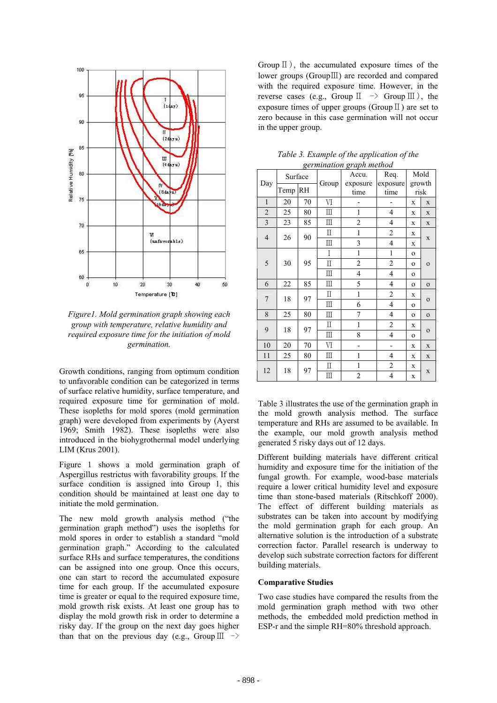

*Figure1. Mold germination graph showing each group with temperature, relative humidity and required exposure time for the initiation of mold germination.* 

Growth conditions, ranging from optimum condition to unfavorable condition can be categorized in terms of surface relative humidity, surface temperature, and required exposure time for germination of mold. These isopleths for mold spores (mold germination graph) were developed from experiments by (Ayerst 1969; Smith 1982). These isopleths were also introduced in the biohygrothermal model underlying LIM (Krus 2001).

Figure 1 shows a mold germination graph of Aspergillus restrictus with favorability groups. If the surface condition is assigned into Group 1, this condition should be maintained at least one day to initiate the mold germination.

The new mold growth analysis method ("the germination graph method") uses the isopleths for mold spores in order to establish a standard "mold germination graph." According to the calculated surface RHs and surface temperatures, the conditions can be assigned into one group. Once this occurs, one can start to record the accumulated exposure time for each group. If the accumulated exposure time is greater or equal to the required exposure time, mold growth risk exists. At least one group has to display the mold growth risk in order to determine a risky day. If the group on the next day goes higher than that on the previous day (e.g., Group  $\text{III} \rightarrow$ 

Group  $\mathbb{I}$ ), the accumulated exposure times of the lower groups (GroupⅢ) are recorded and compared with the required exposure time. However, in the reverse cases (e.g., Group  $\mathbb{I} \rightarrow$  Group  $\mathbb{II}$ ), the exposure times of upper groups (Group  $\mathbb{I}$ ) are set to zero because in this case germination will not occur in the upper group.

| Day                     | Surface |    | Group                            | germination gruph method<br>Accu.<br>exposure | Req.<br>exposure         | Mold<br>growth |              |  |
|-------------------------|---------|----|----------------------------------|-----------------------------------------------|--------------------------|----------------|--------------|--|
|                         | Temp    | RH |                                  | time                                          | time                     |                | risk         |  |
| $\mathbf{1}$            | 20      | 70 | $\mbox{VI}$                      |                                               |                          | $\mathbf x$    | X            |  |
| $\overline{c}$          | 25      | 80 | $\rm III$                        | 1                                             | $\overline{4}$           | $\mathbf x$    | X            |  |
| $\overline{\mathbf{3}}$ | 23      | 85 | Ш                                | $\overline{c}$                                | $\overline{\mathcal{L}}$ | $\mathbf x$    | X            |  |
| $\overline{4}$          |         | 90 | Π                                | $\mathbf{1}$                                  | $\overline{c}$           | X              |              |  |
|                         | 26      |    | Ш                                | 3                                             | 4                        | X              | $\mathbf X$  |  |
|                         | 30      |    | $\overline{I}$                   | $\mathbf{1}$                                  | $\mathbf{1}$             | $\mathbf{o}$   |              |  |
| 5                       |         | 95 | П                                | $\overline{c}$                                | $\overline{c}$           | $\mathbf 0$    | $\mathbf 0$  |  |
|                         |         |    | $\mathbb{I}$                     | 4                                             | 4                        | $\mathbf 0$    |              |  |
| 6                       | 22      | 85 | Ш                                | 5                                             | 4                        | $\mathbf{O}$   | $\Omega$     |  |
| $\overline{7}$          | 18      | 97 | Π                                | $\mathbf{1}$                                  | $\overline{c}$           | $\mathbf x$    |              |  |
|                         |         |    | $\rm III$                        | 6                                             | $\overline{4}$           | $\mathbf{o}$   | $\mathbf 0$  |  |
| 8                       | 25      | 80 | Ш                                | 7                                             | 4                        | $\mathbf 0$    | $\mathbf 0$  |  |
| 9                       | 18      | 97 | Π                                | $\mathbf{1}$                                  | $\overline{\mathbf{c}}$  | X              |              |  |
|                         |         |    | Ш                                | 8                                             | $\overline{\mathcal{L}}$ | $\mathbf{o}$   | $\mathbf{O}$ |  |
| 10                      | 20      | 70 | VI                               | $\overline{a}$                                | $\overline{a}$           | $\mathbf x$    | $\mathbf X$  |  |
| 11                      | 25      | 80 | $\rm III$                        | 1                                             | $\overline{\mathcal{L}}$ | $\mathbf x$    | $\mathbf X$  |  |
| 12                      | 18      | 97 | $\rm \Pi$                        | $\mathbf{1}$                                  | $\overline{c}$           | X              |              |  |
|                         |         |    | $\mathop{\mathrm{III}}\nolimits$ | $\overline{c}$                                | 4                        | X              | X            |  |

*Table 3. Example of the application of the germination graph method* 

Table 3 illustrates the use of the germination graph in the mold growth analysis method. The surface temperature and RHs are assumed to be available. In the example, our mold growth analysis method generated 5 risky days out of 12 days.

Different building materials have different critical humidity and exposure time for the initiation of the fungal growth. For example, wood-base materials require a lower critical humidity level and exposure time than stone-based materials (Ritschkoff 2000). The effect of different building materials as substrates can be taken into account by modifying the mold germination graph for each group. An alternative solution is the introduction of a substrate correction factor. Parallel research is underway to develop such substrate correction factors for different building materials.

#### **Comparative Studies**

Two case studies have compared the results from the mold germination graph method with two other methods, the embedded mold prediction method in ESP-r and the simple RH=80% threshold approach.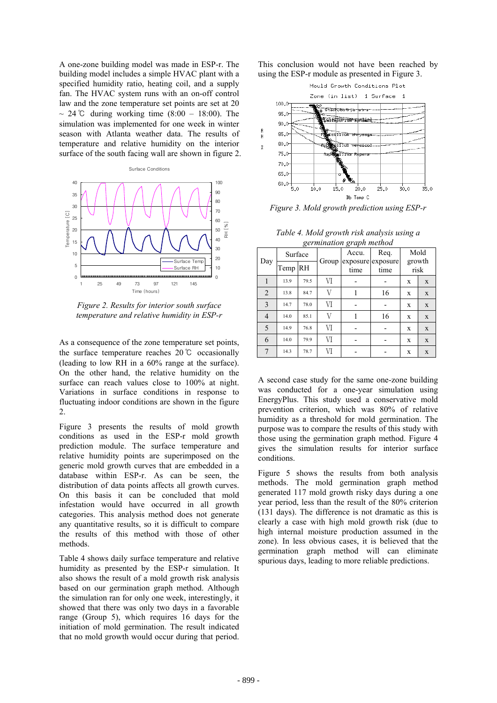A one-zone building model was made in ESP-r. The building model includes a simple HVAC plant with a specified humidity ratio, heating coil, and a supply fan. The HVAC system runs with an on-off control law and the zone temperature set points are set at 20 ~ 24 °C during working time  $(8:00 - 18:00)$ . The simulation was implemented for one week in winter season with Atlanta weather data. The results of temperature and relative humidity on the interior surface of the south facing wall are shown in figure 2.



*Figure 2. Results for interior south surface temperature and relative humidity in ESP-r* 

As a consequence of the zone temperature set points, the surface temperature reaches 20℃ occasionally (leading to low RH in a 60% range at the surface). On the other hand, the relative humidity on the surface can reach values close to 100% at night. Variations in surface conditions in response to fluctuating indoor conditions are shown in the figure  $\mathcal{L}$ 

Figure 3 presents the results of mold growth conditions as used in the ESP-r mold growth prediction module. The surface temperature and relative humidity points are superimposed on the generic mold growth curves that are embedded in a database within ESP-r. As can be seen, the distribution of data points affects all growth curves. On this basis it can be concluded that mold infestation would have occurred in all growth categories. This analysis method does not generate any quantitative results, so it is difficult to compare the results of this method with those of other methods.

Table 4 shows daily surface temperature and relative humidity as presented by the ESP-r simulation. It also shows the result of a mold growth risk analysis based on our germination graph method. Although the simulation ran for only one week, interestingly, it showed that there was only two days in a favorable range (Group 5), which requires 16 days for the initiation of mold germination. The result indicated that no mold growth would occur during that period.

This conclusion would not have been reached by using the ESP-r module as presented in Figure 3.



*Figure 3. Mold growth prediction using ESP-r* 

| germination graph method |         |           |       |       |                           |                |             |
|--------------------------|---------|-----------|-------|-------|---------------------------|----------------|-------------|
| Day                      | Surface |           |       | Accu. | Req.                      | Mold           |             |
|                          | Temp    | <b>RH</b> | Group | time  | exposure exposure<br>time | growth<br>risk |             |
|                          | 13.9    | 79.5      | VI    |       |                           | X              | X           |
| $\overline{2}$           | 13.8    | 84.7      | V     |       | 16                        | X              | X           |
| 3                        | 14.7    | 78.0      | VI    |       |                           | X              | X           |
| 4                        | 14.0    | 85.1      | V     |       | 16                        | X              | X           |
| 5                        | 14.9    | 76.8      | VI    |       |                           | X              | X           |
| 6                        | 14.0    | 79.9      | VI    |       |                           | X              | X           |
| 7                        | 14.3    | 78.7      | VI    |       |                           | X              | $\mathbf X$ |

*Table 4. Mold growth risk analysis using a germination graph method* 

A second case study for the same one-zone building was conducted for a one-year simulation using EnergyPlus. This study used a conservative mold prevention criterion, which was 80% of relative humidity as a threshold for mold germination. The purpose was to compare the results of this study with those using the germination graph method. Figure 4 gives the simulation results for interior surface conditions.

Figure 5 shows the results from both analysis methods. The mold germination graph method generated 117 mold growth risky days during a one year period, less than the result of the 80% criterion (131 days). The difference is not dramatic as this is clearly a case with high mold growth risk (due to high internal moisture production assumed in the zone). In less obvious cases, it is believed that the germination graph method will can eliminate spurious days, leading to more reliable predictions.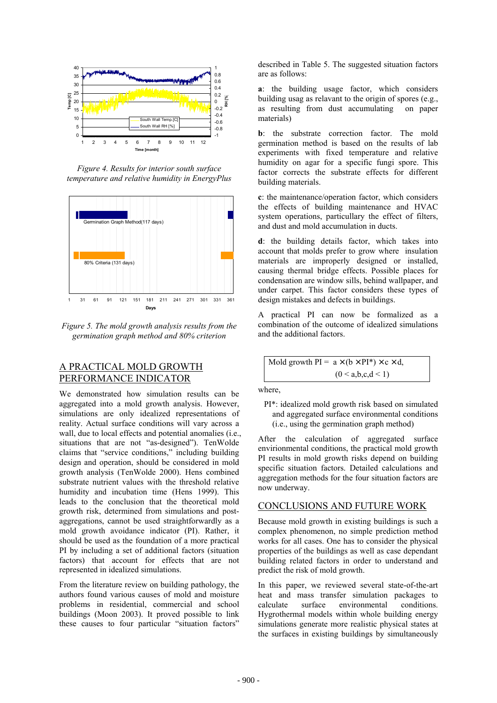

*Figure 4. Results for interior south surface temperature and relative humidity in EnergyPlus* 



*Figure 5. The mold growth analysis results from the germination graph method and 80% criterion* 

## A PRACTICAL MOLD GROWTH PERFORMANCE INDICATOR

We demonstrated how simulation results can be aggregated into a mold growth analysis. However, simulations are only idealized representations of reality. Actual surface conditions will vary across a wall, due to local effects and potential anomalies (i.e., situations that are not "as-designed"). TenWolde claims that "service conditions," including building design and operation, should be considered in mold growth analysis (TenWolde 2000). Hens combined substrate nutrient values with the threshold relative humidity and incubation time (Hens 1999). This leads to the conclusion that the theoretical mold growth risk, determined from simulations and postaggregations, cannot be used straightforwardly as a mold growth avoidance indicator (PI). Rather, it should be used as the foundation of a more practical PI by including a set of additional factors (situation factors) that account for effects that are not represented in idealized simulations.

From the literature review on building pathology, the authors found various causes of mold and moisture problems in residential, commercial and school buildings (Moon 2003). It proved possible to link these causes to four particular "situation factors"

described in Table 5. The suggested situation factors are as follows:

**a**: the building usage factor, which considers building usag as relavant to the origin of spores (e.g., as resulting from dust accumulating on paper materials)

**b**: the substrate correction factor. The mold germination method is based on the results of lab experiments with fixed temperature and relative humidity on agar for a specific fungi spore. This factor corrects the substrate effects for different building materials.

**c**: the maintenance/operation factor, which considers the effects of building maintenance and HVAC system operations, particullary the effect of filters, and dust and mold accumulation in ducts.

**d**: the building details factor, which takes into account that molds prefer to grow where insulation materials are improperly designed or installed, causing thermal bridge effects. Possible places for condensation are window sills, behind wallpaper, and under carpet. This factor considers these types of design mistakes and defects in buildings.

A practical PI can now be formalized as a combination of the outcome of idealized simulations and the additional factors.

$$
1 \text{Mod growth PI} = a \times (b \times PI^*) \times c \times d,
$$
  

$$
(0 < a, b, c, d < 1)
$$

where,

PI\*: idealized mold growth risk based on simulated and aggregated surface environmental conditions (i.e., using the germination graph method)

After the calculation of aggregated surface envirionmental conditions, the practical mold growth PI results in mold growth risks depend on building specific situation factors. Detailed calculations and aggregation methods for the four situation factors are now underway.

## CONCLUSIONS AND FUTURE WORK

Because mold growth in existing buildings is such a complex phenomenon, no simple prediction method works for all cases. One has to consider the physical properties of the buildings as well as case dependant building related factors in order to understand and predict the risk of mold growth.

In this paper, we reviewed several state-of-the-art heat and mass transfer simulation packages to calculate surface environmental conditions. Hygrothermal models within whole building energy simulations generate more realistic physical states at the surfaces in existing buildings by simultaneously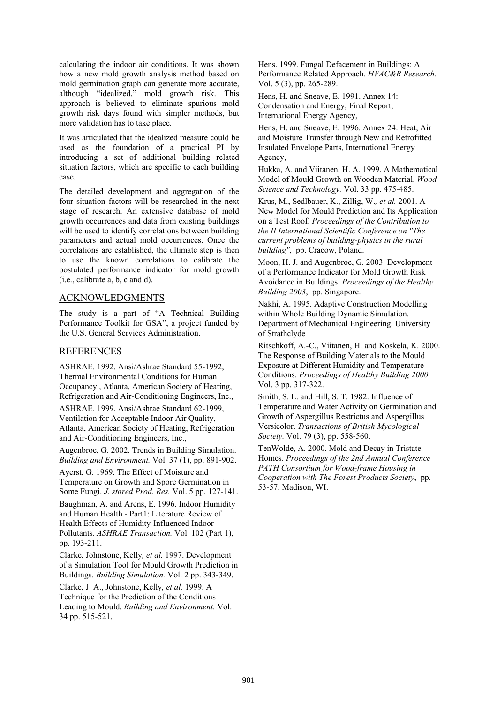calculating the indoor air conditions. It was shown how a new mold growth analysis method based on mold germination graph can generate more accurate, although "idealized," mold growth risk. This approach is believed to eliminate spurious mold growth risk days found with simpler methods, but more validation has to take place.

It was articulated that the idealized measure could be used as the foundation of a practical PI by introducing a set of additional building related situation factors, which are specific to each building case.

The detailed development and aggregation of the four situation factors will be researched in the next stage of research. An extensive database of mold growth occurrences and data from existing buildings will be used to identify correlations between building parameters and actual mold occurrences. Once the correlations are established, the ultimate step is then to use the known correlations to calibrate the postulated performance indicator for mold growth (i.e., calibrate a, b, c and d).

## ACKNOWLEDGMENTS

The study is a part of "A Technical Building Performance Toolkit for GSA", a project funded by the U.S. General Services Administration.

# REFERENCES

ASHRAE. 1992. Ansi/Ashrae Standard 55-1992, Thermal Environmental Conditions for Human Occupancy., Atlanta, American Society of Heating, Refrigeration and Air-Conditioning Engineers, Inc.,

ASHRAE. 1999. Ansi/Ashrae Standard 62-1999, Ventilation for Acceptable Indoor Air Quality, Atlanta, American Society of Heating, Refrigeration and Air-Conditioning Engineers, Inc.,

Augenbroe, G. 2002. Trends in Building Simulation. *Building and Environment.* Vol. 37 (1), pp. 891-902.

Ayerst, G. 1969. The Effect of Moisture and Temperature on Growth and Spore Germination in Some Fungi. *J. stored Prod. Res.* Vol. 5 pp. 127-141.

Baughman, A. and Arens, E. 1996. Indoor Humidity and Human Health - Part1: Literature Review of Health Effects of Humidity-Influenced Indoor Pollutants. *ASHRAE Transaction.* Vol. 102 (Part 1), pp. 193-211.

Clarke, Johnstone, Kelly*, et al.* 1997. Development of a Simulation Tool for Mould Growth Prediction in Buildings. *Building Simulation.* Vol. 2 pp. 343-349.

Clarke, J. A., Johnstone, Kelly*, et al.* 1999. A Technique for the Prediction of the Conditions Leading to Mould. *Building and Environment.* Vol. 34 pp. 515-521.

Hens. 1999. Fungal Defacement in Buildings: A Performance Related Approach. *HVAC&R Research.* Vol. 5 (3), pp. 265-289.

Hens, H. and Sneave, E. 1991. Annex 14: Condensation and Energy, Final Report, International Energy Agency,

Hens, H. and Sneave, E. 1996. Annex 24: Heat, Air and Moisture Transfer through New and Retrofitted Insulated Envelope Parts, International Energy Agency,

Hukka, A. and Viitanen, H. A. 1999. A Mathematical Model of Mould Growth on Wooden Material. *Wood Science and Technology.* Vol. 33 pp. 475-485.

Krus, M., Sedlbauer, K., Zillig, W.*, et al.* 2001. A New Model for Mould Prediction and Its Application on a Test Roof. *Proceedings of the Contribution to the II International Scientific Conference on "The current problems of building-physics in the rural building"*, pp. Cracow, Poland.

Moon, H. J. and Augenbroe, G. 2003. Development of a Performance Indicator for Mold Growth Risk Avoidance in Buildings. *Proceedings of the Healthy Building 2003*, pp. Singapore.

Nakhi, A. 1995. Adaptive Construction Modelling within Whole Building Dynamic Simulation. Department of Mechanical Engineering. University of Strathclyde

Ritschkoff, A.-C., Viitanen, H. and Koskela, K. 2000. The Response of Building Materials to the Mould Exposure at Different Humidity and Temperature Conditions. *Proceedings of Healthy Building 2000.* Vol. 3 pp. 317-322.

Smith, S. L. and Hill, S. T. 1982. Influence of Temperature and Water Activity on Germination and Growth of Aspergillus Restrictus and Aspergillus Versicolor. *Transactions of British Mycological Society.* Vol. 79 (3), pp. 558-560.

TenWolde, A. 2000. Mold and Decay in Tristate Homes. *Proceedings of the 2nd Annual Conference PATH Consortium for Wood-frame Housing in Cooperation with The Forest Products Society*, pp. 53-57. Madison, WI.